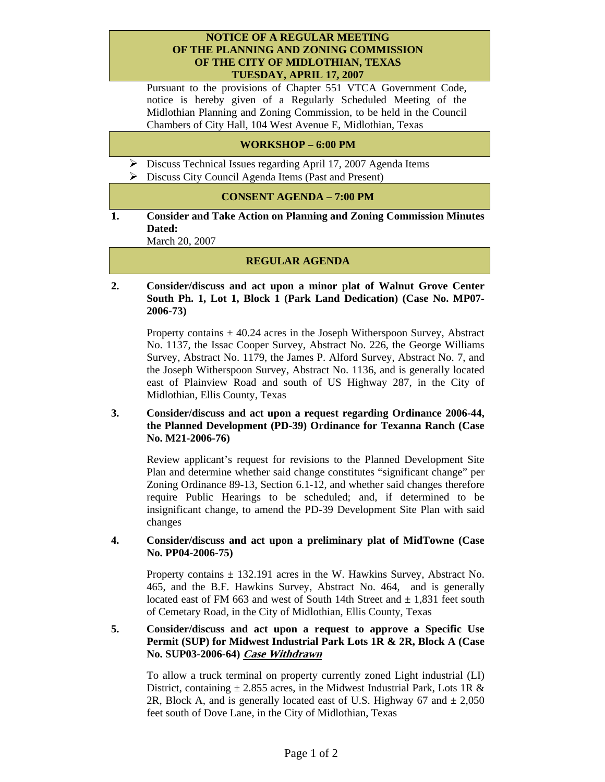#### **NOTICE OF A REGULAR MEETING OF THE PLANNING AND ZONING COMMISSION OF THE CITY OF MIDLOTHIAN, TEXAS TUESDAY, APRIL 17, 2007**

Pursuant to the provisions of Chapter 551 VTCA Government Code, notice is hereby given of a Regularly Scheduled Meeting of the Midlothian Planning and Zoning Commission, to be held in the Council Chambers of City Hall, 104 West Avenue E, Midlothian, Texas

### **WORKSHOP – 6:00 PM**

- ¾ Discuss Technical Issues regarding April 17, 2007 Agenda Items
- $\triangleright$  Discuss City Council Agenda Items (Past and Present)

#### **CONSENT AGENDA – 7:00 PM**

**1. Consider and Take Action on Planning and Zoning Commission Minutes Dated:** 

March 20, 2007

# **REGULAR AGENDA**

**2. Consider/discuss and act upon a minor plat of Walnut Grove Center South Ph. 1, Lot 1, Block 1 (Park Land Dedication) (Case No. MP07- 2006-73)** 

Property contains  $\pm$  40.24 acres in the Joseph Witherspoon Survey, Abstract No. 1137, the Issac Cooper Survey, Abstract No. 226, the George Williams Survey, Abstract No. 1179, the James P. Alford Survey, Abstract No. 7, and the Joseph Witherspoon Survey, Abstract No. 1136, and is generally located east of Plainview Road and south of US Highway 287, in the City of Midlothian, Ellis County, Texas

# **3. Consider/discuss and act upon a request regarding Ordinance 2006-44, the Planned Development (PD-39) Ordinance for Texanna Ranch (Case No. M21-2006-76)**

Review applicant's request for revisions to the Planned Development Site Plan and determine whether said change constitutes "significant change" per Zoning Ordinance 89-13, Section 6.1-12, and whether said changes therefore require Public Hearings to be scheduled; and, if determined to be insignificant change, to amend the PD-39 Development Site Plan with said changes

#### **4. Consider/discuss and act upon a preliminary plat of MidTowne (Case No. PP04-2006-75)**

Property contains  $\pm$  132.191 acres in the W. Hawkins Survey, Abstract No. 465, and the B.F. Hawkins Survey, Abstract No. 464, and is generally located east of FM 663 and west of South 14th Street and  $\pm$  1,831 feet south of Cemetary Road, in the City of Midlothian, Ellis County, Texas

### **5. Consider/discuss and act upon a request to approve a Specific Use Permit (SUP) for Midwest Industrial Park Lots 1R & 2R, Block A (Case No. SUP03-2006-64) Case Withdrawn**

To allow a truck terminal on property currently zoned Light industrial (LI) District, containing  $\pm$  2.855 acres, in the Midwest Industrial Park, Lots 1R & 2R, Block A, and is generally located east of U.S. Highway 67 and  $\pm 2,050$ feet south of Dove Lane, in the City of Midlothian, Texas